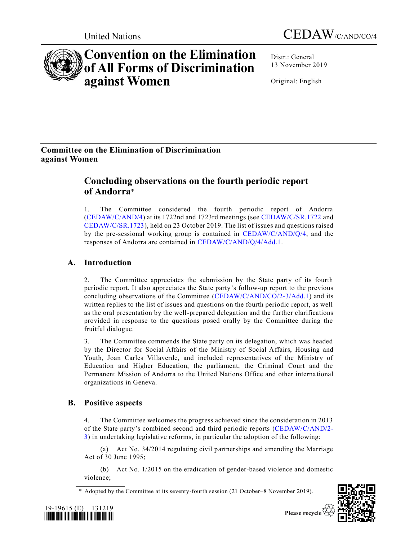

**Convention on the Elimination of All Forms of Discrimination against Women**

Distr.: General 13 November 2019

Original: English

# **Committee on the Elimination of Discrimination against Women**

# **Concluding observations on the fourth periodic report of Andorra**\*

1. The Committee considered the fourth periodic report of Andorra [\(CEDAW/C/AND/4\)](https://undocs.org/en/CEDAW/C/AND/4) at its 1722nd and 1723rd meetings (see [CEDAW/C/SR.1722](https://undocs.org/en/CEDAW/C/SR.1722) and [CEDAW/C/SR.1723\)](https://undocs.org/en/CEDAW/C/SR.1723), held on 23 October 2019. The list of issues and questions raised by the pre-sessional working group is contained in [CEDAW/C/AND/Q/4,](https://undocs.org/en/CEDAW/C/AND/Q/4) and the responses of Andorra are contained in [CEDAW/C/AND/Q/4/Add.1.](https://undocs.org/en/CEDAW/C/AND/Q/4/Add.1)

# **A. Introduction**

2. The Committee appreciates the submission by the State party of its fourth periodic report. It also appreciates the State party's follow-up report to the previous concluding observations of the Committee [\(CEDAW/C/AND/CO/2-3/Add.1\)](https://undocs.org/en/CEDAW/C/AND/CO/2-3/Add.1) and its written replies to the list of issues and questions on the fourth periodic report, as well as the oral presentation by the well-prepared delegation and the further clarifications provided in response to the questions posed orally by the Committee during the fruitful dialogue.

3. The Committee commends the State party on its delegation, which was headed by the Director for Social Affairs of the Ministry of Social Affairs, Housing and Youth, Joan Carles Villaverde, and included representatives of the Ministry of Education and Higher Education, the parliament, the Criminal Court and the Permanent Mission of Andorra to the United Nations Office and other interna tional organizations in Geneva.

# **B. Positive aspects**

4. The Committee welcomes the progress achieved since the consideration in 2013 of the State party's combined second and third periodic reports [\(CEDAW/C/AND/2-](https://undocs.org/en/CEDAW/C/AND/2-3) [3\)](https://undocs.org/en/CEDAW/C/AND/2-3) in undertaking legislative reforms, in particular the adoption of the following:

(a) Act No. 34/2014 regulating civil partnerships and amending the Marriage Act of 30 June 1995;

(b) Act No. 1/2015 on the eradication of gender-based violence and domestic violence;

\* Adopted by the Committee at its seventy-fourth session (21 October–8 November 2019).



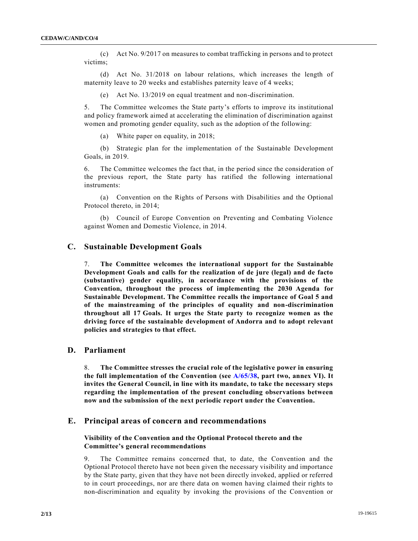(c) Act No. 9/2017 on measures to combat trafficking in persons and to protect victims;

(d) Act No. 31/2018 on labour relations, which increases the length of maternity leave to 20 weeks and establishes paternity leave of 4 weeks;

(e) Act No. 13/2019 on equal treatment and non-discrimination.

5. The Committee welcomes the State party's efforts to improve its institutional and policy framework aimed at accelerating the elimination of discrimination against women and promoting gender equality, such as the adoption of the following:

(a) White paper on equality, in 2018;

(b) Strategic plan for the implementation of the Sustainable Development Goals, in 2019.

6. The Committee welcomes the fact that, in the period since the consideration of the previous report, the State party has ratified the following international instruments:

(a) Convention on the Rights of Persons with Disabilities and the Optional Protocol thereto, in 2014;

(b) Council of Europe Convention on Preventing and Combating Violence against Women and Domestic Violence, in 2014.

# **C. Sustainable Development Goals**

7. **The Committee welcomes the international support for the Sustainable Development Goals and calls for the realization of de jure (legal) and de facto (substantive) gender equality, in accordance with the provisions of the Convention, throughout the process of implementing the 2030 Agenda for Sustainable Development. The Committee recalls the importance of Goal 5 and of the mainstreaming of the principles of equality and non-discrimination throughout all 17 Goals. It urges the State party to recognize women as the driving force of the sustainable development of Andorra and to adopt relevant policies and strategies to that effect.**

# **D. Parliament**

8. **The Committee stresses the crucial role of the legislative power in ensuring the full implementation of the Convention (see [A/65/38,](https://undocs.org/en/A/65/38) part two, annex VI). It invites the General Council, in line with its mandate, to take the necessary steps regarding the implementation of the present concluding observations between now and the submission of the next periodic report under the Convention.**

# **E. Principal areas of concern and recommendations**

# **Visibility of the Convention and the Optional Protocol thereto and the Committee's general recommendations**

9. The Committee remains concerned that, to date, the Convention and the Optional Protocol thereto have not been given the necessary visibility and importance by the State party, given that they have not been directly invoked, applied or referred to in court proceedings, nor are there data on women having claimed their rights to non-discrimination and equality by invoking the provisions of the Convention or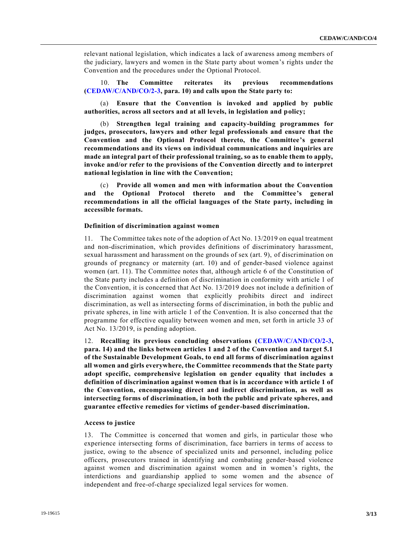relevant national legislation, which indicates a lack of awareness among members of the judiciary, lawyers and women in the State party about women's rights under the Convention and the procedures under the Optional Protocol.

10. **The Committee reiterates its previous recommendations [\(CEDAW/C/AND/CO/2-3,](https://undocs.org/en/CEDAW/C/AND/CO/2-3) para. 10) and calls upon the State party to:**

(a) **Ensure that the Convention is invoked and applied by public authorities, across all sectors and at all levels, in legislation and policy;**

(b) **Strengthen legal training and capacity-building programmes for judges, prosecutors, lawyers and other legal professionals and ensure that the Convention and the Optional Protocol thereto, the Committee's general recommendations and its views on individual communications and inquiries are made an integral part of their professional training, so as to enable them to apply, invoke and/or refer to the provisions of the Convention directly and to interpret national legislation in line with the Convention;**

(c) **Provide all women and men with information about the Convention and the Optional Protocol thereto and the Committee's general recommendations in all the official languages of the State party, including in accessible formats.**

## **Definition of discrimination against women**

11. The Committee takes note of the adoption of Act No. 13/2019 on equal treatment and non-discrimination, which provides definitions of discriminatory harassment, sexual harassment and harassment on the grounds of sex (art. 9), of discrimination on grounds of pregnancy or maternity (art. 10) and of gender-based violence against women (art. 11). The Committee notes that, although article 6 of the Constitution of the State party includes a definition of discrimination in conformity with article 1 of the Convention, it is concerned that Act No. 13/2019 does not include a definition of discrimination against women that explicitly prohibits direct and indirect discrimination, as well as intersecting forms of discrimination, in both the public and private spheres, in line with article 1 of the Convention. It is also concerned that the programme for effective equality between women and men, set forth in article 33 of Act No. 13/2019, is pending adoption.

12. **Recalling its previous concluding observations [\(CEDAW/C/AND/CO/2-3,](https://undocs.org/en/CEDAW/C/AND/CO/2-3) para. 14) and the links between articles 1 and 2 of the Convention and target 5.1 of the Sustainable Development Goals, to end all forms of discrimination against all women and girls everywhere, the Committee recommends that the State party adopt specific, comprehensive legislation on gender equality that includes a definition of discrimination against women that is in accordance with article 1 of the Convention, encompassing direct and indirect discrimination, as well as intersecting forms of discrimination, in both the public and private spheres, and guarantee effective remedies for victims of gender-based discrimination.**

### **Access to justice**

13. The Committee is concerned that women and girls, in particular those who experience intersecting forms of discrimination, face barriers in terms of access to justice, owing to the absence of specialized units and personnel, including police officers, prosecutors trained in identifying and combating gender-based violence against women and discrimination against women and in women's rights, the interdictions and guardianship applied to some women and the absence of independent and free-of-charge specialized legal services for women.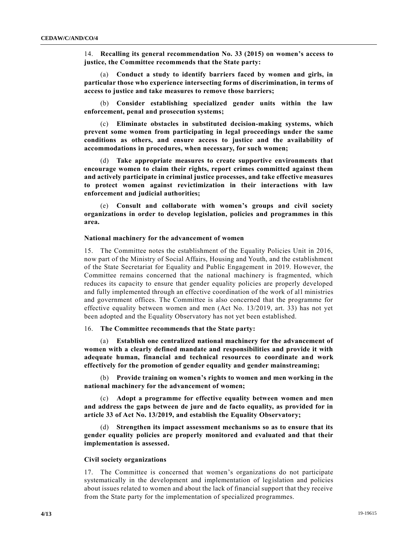14. **Recalling its general recommendation No. 33 (2015) on women's access to justice, the Committee recommends that the State party:**

(a) **Conduct a study to identify barriers faced by women and girls, in particular those who experience intersecting forms of discrimination, in terms of access to justice and take measures to remove those barriers;**

(b) **Consider establishing specialized gender units within the law enforcement, penal and prosecution systems;**

(c) **Eliminate obstacles in substituted decision-making systems, which prevent some women from participating in legal proceedings under the same conditions as others, and ensure access to justice and the availability of accommodations in procedures, when necessary, for such women;**

(d) **Take appropriate measures to create supportive environments that encourage women to claim their rights, report crimes committed against them and actively participate in criminal justice processes, and take effective measures to protect women against revictimization in their interactions with law enforcement and judicial authorities;**

(e) **Consult and collaborate with women's groups and civil society organizations in order to develop legislation, policies and programmes in this area.**

#### **National machinery for the advancement of women**

15. The Committee notes the establishment of the Equality Policies Unit in 2016, now part of the Ministry of Social Affairs, Housing and Youth, and the establishment of the State Secretariat for Equality and Public Engagement in 2019. However, the Committee remains concerned that the national machinery is fragmented, which reduces its capacity to ensure that gender equality policies are properly developed and fully implemented through an effective coordination of the work of all ministries and government offices. The Committee is also concerned that the programme for effective equality between women and men (Act No. 13/2019, art. 33) has not yet been adopted and the Equality Observatory has not yet been established.

# 16. **The Committee recommends that the State party:**

(a) **Establish one centralized national machinery for the advancement of women with a clearly defined mandate and responsibilities and provide it with adequate human, financial and technical resources to coordinate and work effectively for the promotion of gender equality and gender mainstreaming;**

(b) **Provide training on women's rights to women and men working in the national machinery for the advancement of women;**

(c) **Adopt a programme for effective equality between women and men and address the gaps between de jure and de facto equality, as provided for in article 33 of Act No. 13/2019, and establish the Equality Observatory;**

(d) **Strengthen its impact assessment mechanisms so as to ensure that its gender equality policies are properly monitored and evaluated and that their implementation is assessed.**

## **Civil society organizations**

17. The Committee is concerned that women's organizations do not participate systematically in the development and implementation of legislation and policies about issues related to women and about the lack of financial support that they receive from the State party for the implementation of specialized programmes.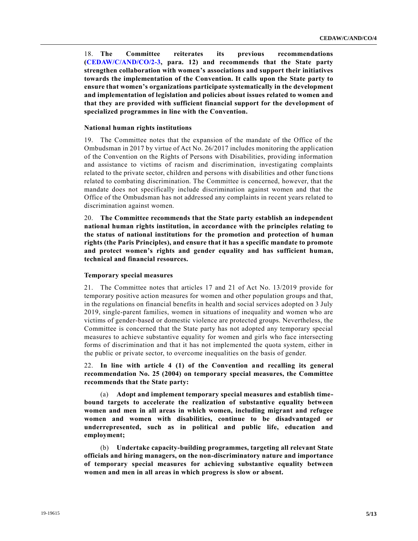18. **The Committee reiterates its previous recommendations [\(CEDAW/C/AND/CO/2-3,](https://undocs.org/en/CEDAW/C/AND/CO/2-3) para. 12) and recommends that the State party strengthen collaboration with women's associations and support their initiatives towards the implementation of the Convention. It calls upon the State party to ensure that women's organizations participate systematically in the development and implementation of legislation and policies about issues related to women and that they are provided with sufficient financial support for the development of specialized programmes in line with the Convention.**

## **National human rights institutions**

19. The Committee notes that the expansion of the mandate of the Office of the Ombudsman in 2017 by virtue of Act No. 26/2017 includes monitoring the application of the Convention on the Rights of Persons with Disabilities, providing information and assistance to victims of racism and discrimination, investigating complaints related to the private sector, children and persons with disabilities and other func tions related to combating discrimination. The Committee is concerned, however, that the mandate does not specifically include discrimination against women and that the Office of the Ombudsman has not addressed any complaints in recent years related to discrimination against women.

20. **The Committee recommends that the State party establish an independent national human rights institution, in accordance with the principles relating to the status of national institutions for the promotion and protection of human rights (the Paris Principles), and ensure that it has a specific mandate to promote and protect women's rights and gender equality and has sufficient human, technical and financial resources.**

#### **Temporary special measures**

21. The Committee notes that articles 17 and 21 of Act No. 13/2019 provide for temporary positive action measures for women and other population groups and that, in the regulations on financial benefits in health and social services adopted on 3 July 2019, single-parent families, women in situations of inequality and women who are victims of gender-based or domestic violence are protected groups. Nevertheless, the Committee is concerned that the State party has not adopted any temporary special measures to achieve substantive equality for women and girls who face intersecting forms of discrimination and that it has not implemented the quota system, either in the public or private sector, to overcome inequalities on the basis of gender.

22. **In line with article 4 (1) of the Convention and recalling its general recommendation No. 25 (2004) on temporary special measures, the Committee recommends that the State party:**

Adopt and implement temporary special measures and establish time**bound targets to accelerate the realization of substantive equality between women and men in all areas in which women, including migrant and refugee women and women with disabilities, continue to be disadvantaged or underrepresented, such as in political and public life, education and employment;**

(b) **Undertake capacity-building programmes, targeting all relevant State officials and hiring managers, on the non-discriminatory nature and importance of temporary special measures for achieving substantive equality between women and men in all areas in which progress is slow or absent.**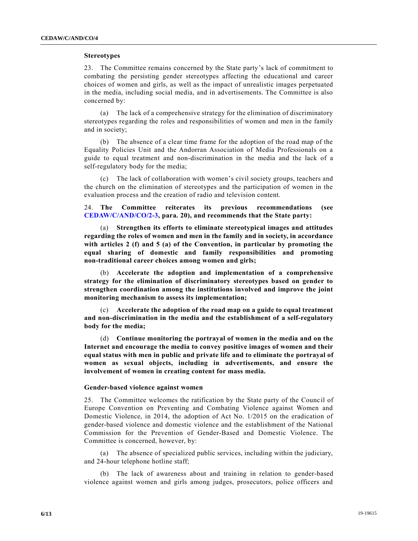# **Stereotypes**

23. The Committee remains concerned by the State party's lack of commitment to combating the persisting gender stereotypes affecting the educational and career choices of women and girls, as well as the impact of unrealistic images perpetuated in the media, including social media, and in advertisements. The Committee is also concerned by:

(a) The lack of a comprehensive strategy for the elimination of discriminatory stereotypes regarding the roles and responsibilities of women and men in the family and in society;

(b) The absence of a clear time frame for the adoption of the road map of the Equality Policies Unit and the Andorran Association of Media Professionals on a guide to equal treatment and non-discrimination in the media and the lack of a self-regulatory body for the media;

(c) The lack of collaboration with women's civil society groups, teachers and the church on the elimination of stereotypes and the participation of women in the evaluation process and the creation of radio and television content.

24. **The Committee reiterates its previous recommendations (see [CEDAW/C/AND/CO/2-3,](https://undocs.org/en/CEDAW/C/AND/CO/2-3) para. 20), and recommends that the State party:**

(a) **Strengthen its efforts to eliminate stereotypical images and attitudes regarding the roles of women and men in the family and in society, in accordance with articles 2 (f) and 5 (a) of the Convention, in particular by promoting the equal sharing of domestic and family responsibilities and promoting non-traditional career choices among women and girls;**

(b) **Accelerate the adoption and implementation of a comprehensive strategy for the elimination of discriminatory stereotypes based on gender to strengthen coordination among the institutions involved and improve the joint monitoring mechanism to assess its implementation;**

(c) **Accelerate the adoption of the road map on a guide to equal treatment and non-discrimination in the media and the establishment of a self-regulatory body for the media;**

(d) **Continue monitoring the portrayal of women in the media and on the Internet and encourage the media to convey positive images of women and their equal status with men in public and private life and to eliminate the portrayal of women as sexual objects, including in advertisements, and ensure the involvement of women in creating content for mass media.**

# **Gender-based violence against women**

25. The Committee welcomes the ratification by the State party of the Counc il of Europe Convention on Preventing and Combating Violence against Women and Domestic Violence, in 2014, the adoption of Act No. 1/2015 on the eradication of gender-based violence and domestic violence and the establishment of the National Commission for the Prevention of Gender-Based and Domestic Violence. The Committee is concerned, however, by:

(a) The absence of specialized public services, including within the judiciary, and 24-hour telephone hotline staff;

(b) The lack of awareness about and training in relation to gender-based violence against women and girls among judges, prosecutors, police officers and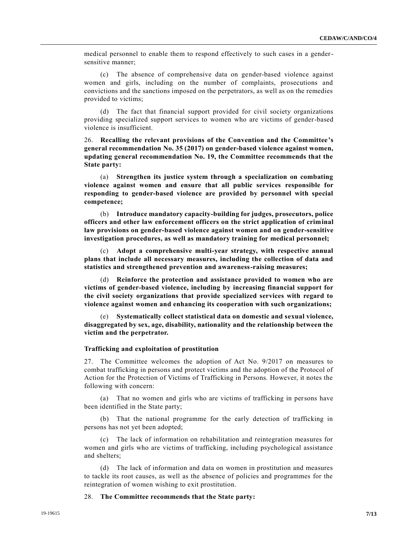medical personnel to enable them to respond effectively to such cases in a gendersensitive manner;

(c) The absence of comprehensive data on gender-based violence against women and girls, including on the number of complaints, prosecutions and convictions and the sanctions imposed on the perpetrators, as well as on the remedies provided to victims;

(d) The fact that financial support provided for civil society organizations providing specialized support services to women who are victims of gender-based violence is insufficient.

26. **Recalling the relevant provisions of the Convention and the Committee's general recommendation No. 35 (2017) on gender-based violence against women, updating general recommendation No. 19, the Committee recommends that the State party:**

(a) **Strengthen its justice system through a specialization on combating violence against women and ensure that all public services responsible for responding to gender-based violence are provided by personnel with special competence;**

(b) **Introduce mandatory capacity-building for judges, prosecutors, police officers and other law enforcement officers on the strict application of criminal law provisions on gender-based violence against women and on gender-sensitive investigation procedures, as well as mandatory training for medical personnel;**

(c) **Adopt a comprehensive multi-year strategy, with respective annual plans that include all necessary measures, including the collection of data and statistics and strengthened prevention and awareness-raising measures;**

(d) **Reinforce the protection and assistance provided to women who are victims of gender-based violence, including by increasing financial support for the civil society organizations that provide specialized services with regard to violence against women and enhancing its cooperation with such organizations;**

(e) **Systematically collect statistical data on domestic and sexual violence, disaggregated by sex, age, disability, nationality and the relationship between the victim and the perpetrator.**

## **Trafficking and exploitation of prostitution**

27. The Committee welcomes the adoption of Act No. 9/2017 on measures to combat trafficking in persons and protect victims and the adoption of the Protocol of Action for the Protection of Victims of Trafficking in Persons. However, it notes the following with concern:

(a) That no women and girls who are victims of trafficking in persons have been identified in the State party;

(b) That the national programme for the early detection of trafficking in persons has not yet been adopted;

(c) The lack of information on rehabilitation and reintegration measures for women and girls who are victims of trafficking, including psychological assistance and shelters;

(d) The lack of information and data on women in prostitution and measures to tackle its root causes, as well as the absence of policies and programmes for the reintegration of women wishing to exit prostitution.

28. **The Committee recommends that the State party:**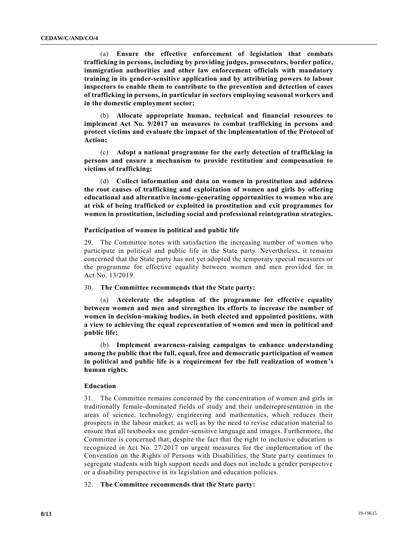(a) **Ensure the effective enforcement of legislation that combats trafficking in persons, including by providing judges, prosecutors, border police, immigration authorities and other law enforcement officials with mandatory training in its gender-sensitive application and by attributing powers to labour inspectors to enable them to contribute to the prevention and detection of cases of trafficking in persons, in particular in sectors employing seasonal workers and in the domestic employment sector;**

(b) **Allocate appropriate human, technical and financial resources to implement Act No. 9/2017 on measures to combat trafficking in persons and protect victims and evaluate the impact of the implementation of the Protocol of Action;**

(c) **Adopt a national programme for the early detection of trafficking in persons and ensure a mechanism to provide restitution and compensation to victims of trafficking;**

(d) **Collect information and data on women in prostitution and address the root causes of trafficking and exploitation of women and girls by offering educational and alternative income-generating opportunities to women who are at risk of being trafficked or exploited in prostitution and exit programmes for women in prostitution, including social and professional reintegration strategies.**

#### **Participation of women in political and public life**

29. The Committee notes with satisfaction the increasing number of women who participate in political and public life in the State party. Nevertheless, it remains concerned that the State party has not yet adopted the temporary special measures or the programme for effective equality between women and men provided for in Act No. 13/2019.

30. **The Committee recommends that the State party:**

(a) **Accelerate the adoption of the programme for effective equality between women and men and strengthen its efforts to increase the number of women in decision-making bodies, in both elected and appointed positions, with a view to achieving the equal representation of women and men in political and public life;**

(b) **Implement awareness-raising campaigns to enhance understanding among the public that the full, equal, free and democratic participation of women in political and public life is a requirement for the full realization of women's human rights.**

# **Education**

31. The Committee remains concerned by the concentration of women and girls in traditionally female-dominated fields of study and their underrepresentation in the areas of science, technology, engineering and mathematics, which reduces their prospects in the labour market, as well as by the need to revise education material to ensure that all textbooks use gender-sensitive language and images. Furthermore, the Committee is concerned that, despite the fact that the right to inclusive education is recognized in Act No. 27/2017 on urgent measures for the implementation of the Convention on the Rights of Persons with Disabilities, the State party continues to segregate students with high support needs and does not include a gender perspective or a disability perspective in its legislation and education policies.

# 32. **The Committee recommends that the State party:**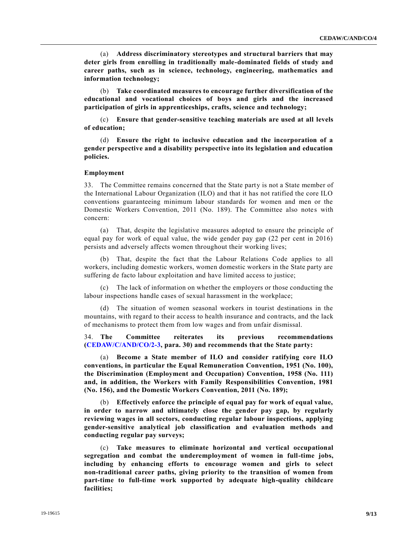(a) **Address discriminatory stereotypes and structural barriers that may deter girls from enrolling in traditionally male-dominated fields of study and career paths, such as in science, technology, engineering, mathematics and information technology;**

(b) **Take coordinated measures to encourage further diversification of the educational and vocational choices of boys and girls and the increased participation of girls in apprenticeships, crafts, science and technology;**

(c) **Ensure that gender-sensitive teaching materials are used at all levels of education;**

(d) **Ensure the right to inclusive education and the incorporation of a gender perspective and a disability perspective into its legislation and education policies.**

#### **Employment**

33. The Committee remains concerned that the State party is not a State member of the International Labour Organization (ILO) and that it has not ratified the core ILO conventions guaranteeing minimum labour standards for women and men or the Domestic Workers Convention, 2011 (No. 189). The Committee also notes with concern:

(a) That, despite the legislative measures adopted to ensure the principle of equal pay for work of equal value, the wide gender pay gap (22 per cent in 2016) persists and adversely affects women throughout their working lives;

(b) That, despite the fact that the Labour Relations Code applies to all workers, including domestic workers, women domestic workers in the State party are suffering de facto labour exploitation and have limited access to justice;

(c) The lack of information on whether the employers or those conducting the labour inspections handle cases of sexual harassment in the workplace;

(d) The situation of women seasonal workers in tourist destinations in the mountains, with regard to their access to health insurance and contracts, and the lack of mechanisms to protect them from low wages and from unfair dismissal.

34. **The Committee reiterates its previous recommendations [\(CEDAW/C/AND/CO/2-3,](https://undocs.org/en/CEDAW/C/AND/CO/2-3) para. 30) and recommends that the State party:**

(a) **Become a State member of ILO and consider ratifying core ILO conventions, in particular the Equal Remuneration Convention, 1951 (No. 100), the Discrimination (Employment and Occupation) Convention, 1958 (No. 111) and, in addition, the Workers with Family Responsibilities Convention, 1981 (No. 156), and the Domestic Workers Convention, 2011 (No. 189);**

(b) **Effectively enforce the principle of equal pay for work of equal value, in order to narrow and ultimately close the gender pay gap, by regularly reviewing wages in all sectors, conducting regular labour inspections, applying gender-sensitive analytical job classification and evaluation methods and conducting regular pay surveys;**

(c) **Take measures to eliminate horizontal and vertical occupational segregation and combat the underemployment of women in full-time jobs, including by enhancing efforts to encourage women and girls to select non-traditional career paths, giving priority to the transition of women from part-time to full-time work supported by adequate high-quality childcare facilities;**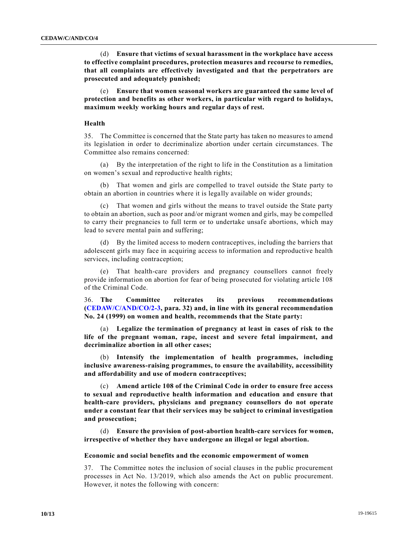(d) **Ensure that victims of sexual harassment in the workplace have access to effective complaint procedures, protection measures and recourse to remedies, that all complaints are effectively investigated and that the perpetrators are prosecuted and adequately punished;**

(e) **Ensure that women seasonal workers are guaranteed the same level of protection and benefits as other workers, in particular with regard to holidays, maximum weekly working hours and regular days of rest.**

# **Health**

35. The Committee is concerned that the State party has taken no measures to amend its legislation in order to decriminalize abortion under certain circumstances. The Committee also remains concerned:

(a) By the interpretation of the right to life in the Constitution as a limitation on women's sexual and reproductive health rights;

That women and girls are compelled to travel outside the State party to obtain an abortion in countries where it is legally available on wider grounds;

(c) That women and girls without the means to travel outside the State party to obtain an abortion, such as poor and/or migrant women and girls, may be compelled to carry their pregnancies to full term or to undertake unsafe abortions, which may lead to severe mental pain and suffering;

(d) By the limited access to modern contraceptives, including the barriers that adolescent girls may face in acquiring access to information and reproductive health services, including contraception;

(e) That health-care providers and pregnancy counsellors cannot freely provide information on abortion for fear of being prosecuted for violating article 108 of the Criminal Code.

36. **The Committee reiterates its previous recommendations [\(CEDAW/C/AND/CO/2-3,](https://undocs.org/en/CEDAW/C/AND/CO/2-3) para. 32) and, in line with its general recommendation No. 24 (1999) on women and health, recommends that the State party:**

(a) **Legalize the termination of pregnancy at least in cases of risk to the life of the pregnant woman, rape, incest and severe fetal impairment, and decriminalize abortion in all other cases;**

(b) **Intensify the implementation of health programmes, including inclusive awareness-raising programmes, to ensure the availability, accessibility and affordability and use of modern contraceptives;**

(c) **Amend article 108 of the Criminal Code in order to ensure free access to sexual and reproductive health information and education and ensure that health-care providers, physicians and pregnancy counsellors do not operate under a constant fear that their services may be subject to criminal investigation and prosecution;**

(d) **Ensure the provision of post-abortion health-care services for women, irrespective of whether they have undergone an illegal or legal abortion.**

#### **Economic and social benefits and the economic empowerment of women**

37. The Committee notes the inclusion of social clauses in the public procurement processes in Act No. 13/2019, which also amends the Act on public procurement. However, it notes the following with concern: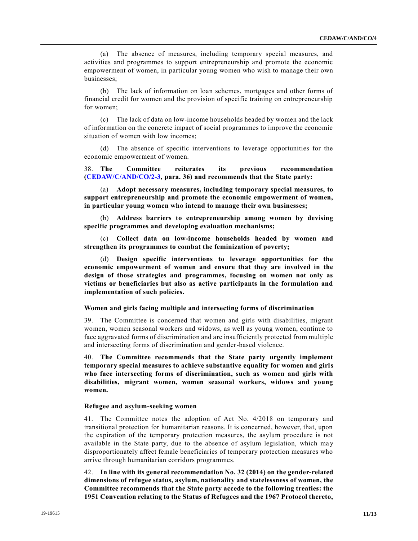(a) The absence of measures, including temporary special measures, and activities and programmes to support entrepreneurship and promote the economic empowerment of women, in particular young women who wish to manage their own businesses;

(b) The lack of information on loan schemes, mortgages and other forms of financial credit for women and the provision of specific training on entrepreneurship for women;

(c) The lack of data on low-income households headed by women and the lack of information on the concrete impact of social programmes to improve the economic situation of women with low incomes;

(d) The absence of specific interventions to leverage opportunities for the economic empowerment of women.

38. **The Committee reiterates its previous recommendation [\(CEDAW/C/AND/CO/2-3,](https://undocs.org/en/CEDAW/C/AND/CO/2-3) para. 36) and recommends that the State party:**

(a) **Adopt necessary measures, including temporary special measures, to support entrepreneurship and promote the economic empowerment of women, in particular young women who intend to manage their own businesses;**

(b) **Address barriers to entrepreneurship among women by devising specific programmes and developing evaluation mechanisms;**

(c) **Collect data on low-income households headed by women and strengthen its programmes to combat the feminization of poverty;**

(d) **Design specific interventions to leverage opportunities for the economic empowerment of women and ensure that they are involved in the design of those strategies and programmes, focusing on women not only as victims or beneficiaries but also as active participants in the formulation and implementation of such policies.**

# **Women and girls facing multiple and intersecting forms of discrimination**

39. The Committee is concerned that women and girls with disabilities, migrant women, women seasonal workers and widows, as well as young women, continue to face aggravated forms of discrimination and are insufficiently protected from multiple and intersecting forms of discrimination and gender-based violence.

40. **The Committee recommends that the State party urgently implement temporary special measures to achieve substantive equality for women and girls who face intersecting forms of discrimination, such as women and girls with disabilities, migrant women, women seasonal workers, widows and young women.**

#### **Refugee and asylum-seeking women**

41. The Committee notes the adoption of Act No. 4/2018 on temporary and transitional protection for humanitarian reasons. It is concerned, however, that, upon the expiration of the temporary protection measures, the asylum procedure is not available in the State party, due to the absence of asylum legislation, which ma y disproportionately affect female beneficiaries of temporary protection measures who arrive through humanitarian corridors programmes.

42. **In line with its general recommendation No. 32 (2014) on the gender-related dimensions of refugee status, asylum, nationality and statelessness of women, the Committee recommends that the State party accede to the following treaties: the 1951 Convention relating to the Status of Refugees and the 1967 Protocol thereto,**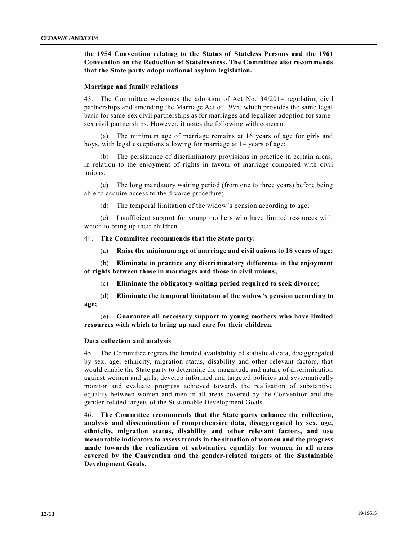# **the 1954 Convention relating to the Status of Stateless Persons and the 1961 Convention on the Reduction of Statelessness. The Committee also recommends that the State party adopt national asylum legislation.**

## **Marriage and family relations**

43. The Committee welcomes the adoption of Act No. 34/2014 regulating civil partnerships and amending the Marriage Act of 1995, which provides the same legal basis for same-sex civil partnerships as for marriages and legalizes adoption for samesex civil partnerships. However, it notes the following with concern:

(a) The minimum age of marriage remains at 16 years of age for girls and boys, with legal exceptions allowing for marriage at 14 years of age;

(b) The persistence of discriminatory provisions in practice in certain areas, in relation to the enjoyment of rights in favour of marriage compared with civil unions;

(c) The long mandatory waiting period (from one to three years) before being able to acquire access to the divorce procedure;

(d) The temporal limitation of the widow's pension according to age;

(e) Insufficient support for young mothers who have limited resources with which to bring up their children.

44. **The Committee recommends that the State party:**

(a) **Raise the minimum age of marriage and civil unions to 18 years of age;**

(b) **Eliminate in practice any discriminatory difference in the enjoyment of rights between those in marriages and those in civil unions;**

(c) **Eliminate the obligatory waiting period required to seek divorce;**

(d) **Eliminate the temporal limitation of the widow's pension according to age;**

(e) **Guarantee all necessary support to young mothers who have limited resources with which to bring up and care for their children.**

#### **Data collection and analysis**

45. The Committee regrets the limited availability of statistical data, disaggregated by sex, age, ethnicity, migration status, disability and other relevant factors, that would enable the State party to determine the magnitude and nature of discrimination against women and girls, develop informed and targeted policies and systematically monitor and evaluate progress achieved towards the realization of substantive equality between women and men in all areas covered by the Convention and the gender-related targets of the Sustainable Development Goals.

46. **The Committee recommends that the State party enhance the collection, analysis and dissemination of comprehensive data, disaggregated by sex, age, ethnicity, migration status, disability and other relevant factors, and use measurable indicators to assess trends in the situation of women and the progress made towards the realization of substantive equality for women in all areas covered by the Convention and the gender-related targets of the Sustainable Development Goals.**